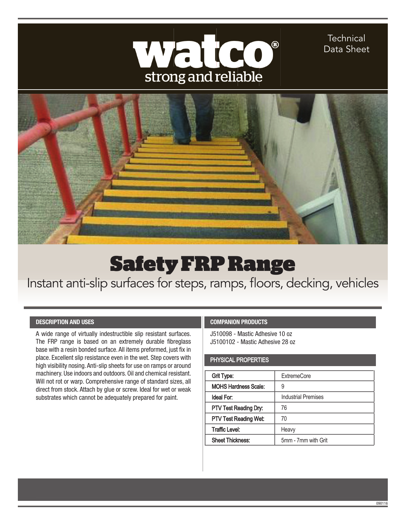

**Technical** Data Sheet



## Safety FRP Range

Instant anti-slip surfaces for steps, ramps, floors, decking, vehicles

## **DESCRIPTION AND USES**

A wide range of virtually indestructible slip resistant surfaces. The FRP range is based on an extremely durable fibreglass base with a resin bonded surface. All items preformed, just fix in place. Excellent slip resistance even in the wet. Step covers with high visibility nosing. Anti-slip sheets for use on ramps or around machinery. Use indoors and outdoors. Oil and chemical resistant. Will not rot or warp. Comprehensive range of standard sizes, all direct from stock. Attach by glue or screw. Ideal for wet or weak substrates which cannot be adequately prepared for paint.

## **COMPANION PRODUCTS**

J510098 - Mastic Adhesive 10 oz J5100102 - Mastic Adhesive 28 oz

## PHYSICAL PROPERTIES

| Grit Type:                   | <b>ExtremeCore</b>         |
|------------------------------|----------------------------|
| <b>MOHS Hardness Scale:</b>  | 9                          |
| Ideal For:                   | <b>Industrial Premises</b> |
| PTV Test Reading Dry:        | 76                         |
| <b>PTV Test Reading Wet:</b> | 70                         |
| <b>Traffic Level:</b>        | Heavy                      |
| <b>Sheet Thickness:</b>      | 5mm - 7mm with Grit        |

09011